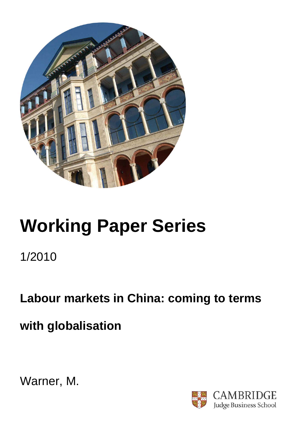

# **Working Paper Series**

1/2010

**Labour markets in China: coming to terms** 

**with globalisation** 



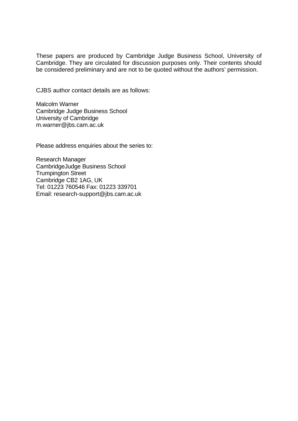These papers are produced by Cambridge Judge Business School, University of Cambridge. They are circulated for discussion purposes only. Their contents should be considered preliminary and are not to be quoted without the authors' permission.

CJBS author contact details are as follows:

Malcolm Warner Cambridge Judge Business School University of Cambridge m.warner@jbs.cam.ac.uk

Please address enquiries about the series to:

Research Manager CambridgeJudge Business School Trumpington Street Cambridge CB2 1AG, UK Tel: 01223 760546 Fax: 01223 339701 Email: research-support@jbs.cam.ac.uk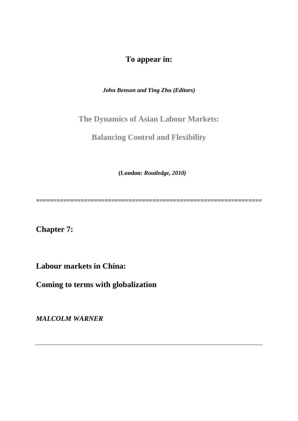## **To appear in:**

*John Benson and Ying Zhu (Editors)* 

**The Dynamics of Asian Labour Markets:** 

**Balancing Control and Flexibility** 

 **(London:** *Routledge, 2010)* 

*==================================================================* 

**Chapter 7:** 

**Labour markets in China:** 

**Coming to terms with globalization** 

*MALCOLM WARNER*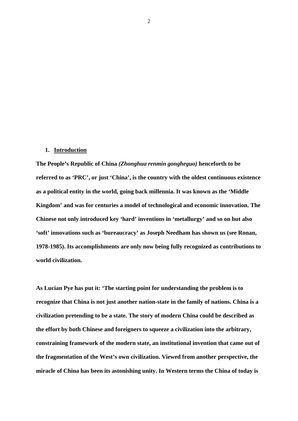#### **1. Introduction**

**The People's Republic of China** *(Zhonghua renmín gongheguo)* **henceforth to be referred to as 'PRC', or just 'China', is the country with the oldest continuous existence as a political entity in the world, going back millennia. It was known as the 'Middle Kingdom' and was for centuries a model of technological and economic innovation. The Chinese not only introduced key 'hard' inventions in 'metallurgy' and so on but also 'soft' innovations such as 'bureaucracy' as Joseph Needham has shown us (see Ronan, 1978-1985). Its accomplishments are only now being fully recognized as contributions to world civilization.** 

**As Lucian Pye has put it: 'The starting point for understanding the problem is to recognize that China is not just another nation-state in the family of nations. China is a civilization pretending to be a state. The story of modern China could be described as the effort by both Chinese and foreigners to squeeze a civilization into the arbitrary, constraining framework of the modern state, an institutional invention that came out of the fragmentation of the West's own civilization. Viewed from another perspective, the miracle of China has been its astonishing unity. In Western terms the China of today is**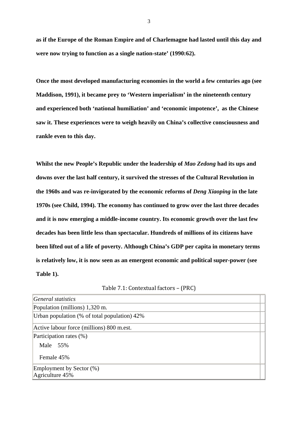**as if the Europe of the Roman Empire and of Charlemagne had lasted until this day and were now trying to function as a single nation-state' (1990:62).** 

**Once the most developed manufacturing economies in the world a few centuries ago (see Maddison, 1991), it became prey to 'Western imperialism' in the nineteenth century and experienced both 'national humiliation' and 'economic impotence', as the Chinese saw it. These experiences were to weigh heavily on China's collective consciousness and rankle even to this day.** 

**Whilst the new People's Republic under the leadership of** *Mao Zedong* **had its ups and downs over the last half century, it survived the stresses of the Cultural Revolution in the 1960s and was re-invigorated by the economic reforms of** *Deng Xiaoping* **in the late 1970s (see Child, 1994). The economy has continued to grow over the last three decades and it is now emerging a middle-income country. Its economic growth over the last few decades has been little less than spectacular. Hundreds of millions of its citizens have been lifted out of a life of poverty. Although China's GDP per capita in monetary terms is relatively low, it is now seen as an emergent economic and political super-power (see Table 1).** 

| General statistics                           |  |
|----------------------------------------------|--|
| Population (millions) 1,320 m.               |  |
| Urban population (% of total population) 42% |  |
| Active labour force (millions) 800 m.est.    |  |
| Participation rates (%)                      |  |
| Male 55%                                     |  |
| Female 45%                                   |  |
| Employment by Sector (%)                     |  |
| Agriculture 45%                              |  |

Table 7.1: Contextual factors – (PRC)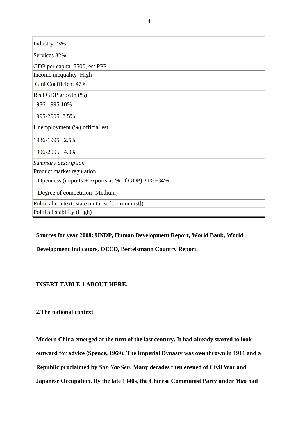Industry 23%

Services 32%

GDP per capita, 5500, est PPP

Income inequality High

Gini Coefficient 47%

Real GDP growth (%)

1986-1995 10%

1995-2005 8.5%

Unemployment (%) official est.

1986-1995 2.5%

1996-2005 4.0%

*Summary description*

Product market regulation

Openness (imports + exports as % of GDP)  $31\% + 34\%$ 

Degree of competition (Medium)

Political context: state unitarist [Communist])

Political stability (High)

**Sources for year 2008: UNDP, Human Development Report, World Bank, World** 

**Development Indicators, OECD, Bertelsmann Country Report.** 

## **INSERT TABLE 1 ABOUT HERE.**

## **2.The national context**

**Modern China emerged at the turn of the last century. It had already started to look outward for advice (Spence, 1969). The Imperial Dynasty was overthrown in 1911 and a Republic proclaimed by** *Sun Yat-Sen***. Many decades then ensued of Civil War and Japanese Occupation. By the late 1940s, the Chinese Communist Party under** *Mao* **had**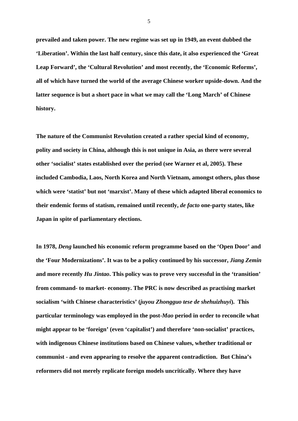**prevailed and taken power. The new regime was set up in 1949, an event dubbed the 'Liberation'. Within the last half century, since this date, it also experienced the 'Great Leap Forward', the 'Cultural Revolution' and most recently, the 'Economic Reforms', all of which have turned the world of the average Chinese worker upside-down. And the latter sequence is but a short pace in what we may call the 'Long March' of Chinese history.** 

**The nature of the Communist Revolution created a rather special kind of economy, polity and society in China, although this is not unique in Asia, as there were several other 'socialist' states established over the period (see Warner et al, 2005). These included Cambodia, Laos, North Korea and North Vietnam, amongst others, plus those which were 'statist' but not 'marxist'. Many of these which adapted liberal economics to their endemic forms of statism, remained until recently,** *de facto* **one-party states, like Japan in spite of parliamentary elections.** 

**In 1978,** *Deng* **launched his economic reform programme based on the 'Open Door' and the 'Four Modernizations'. It was to be a policy continued by his successor,** *Jiang Zemin* **and more recently** *Hu Jintao***. This policy was to prove very successful in the 'transition' from command- to market- economy. The PRC is now described as practising market socialism 'with Chinese characteristics' (***juyou Zhongguo tese de shehuizhuyi***). This particular terminology was employed in the post-***Mao* **period in order to reconcile what might appear to be 'foreign' (even 'capitalist') and therefore 'non-socialist' practices, with indigenous Chinese institutions based on Chinese values, whether traditional or communist - and even appearing to resolve the apparent contradiction. But China's reformers did not merely replicate foreign models uncritically. Where they have** 

 $\sim$  5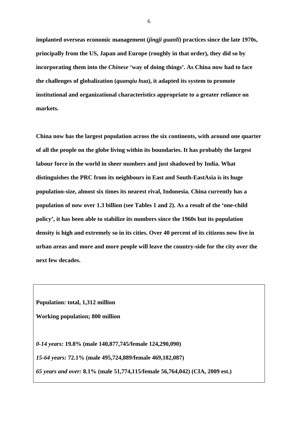**implanted overseas economic management (***jingji guanli***) practices since the late 1970s, principally from the US, Japan and Europe (roughly in that order), they did so by incorporating them into the** *Chinese* **'way of doing things'. As China now had to face the challenges of globalization (***quanqiu hua***), it adapted its system to promote institutional and organizational characteristics appropriate to a greater reliance on markets.** 

**China now has the largest population across the six continents, with around one quarter of all the people on the globe living within its boundaries. It has probably the largest labour force in the world in sheer numbers and just shadowed by India. What distinguishes the PRC from its neighbours in East and South-EastAsia is its huge population-size, almost six times its nearest rival, Indonesia. China currently has a population of now over 1.3 billion (see Tables 1 and 2). As a result of the 'one-child policy', it has been able to stabilize its numbers since the 1960s but its population density is high and extremely so in its cities. Over 40 percent of its citizens now live in urban areas and more and more people will leave the country-side for the city over the next few decades.** 

**Population: total, 1,312 million** 

**Working population; 800 million** 

*0-14 years:* **19.8% (male 140,877,745/female 124,290,090)** 

*15-64 years:* **72.1% (male 495,724,889/female 469,182,087)** 

*65 years and over:* **8.1% (male 51,774,115/female 56,764,042) (CIA, 2009 est.)** 

 $\sim$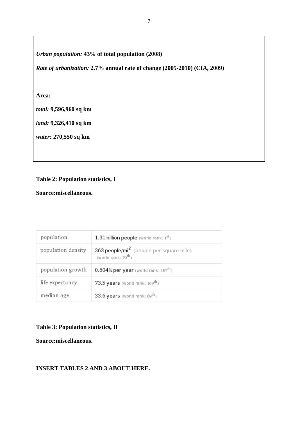## *Urban population:* **43% of total population (2008)**

*Rate of urbanization:* **2.7% annual rate of change (2005-2010) (CIA, 2009)** 

### **Area:**

*total:* **9,596,960 sq km** 

*land:* **9,326,410 sq km** 

*water:* **270,550 sq km** 

## **Table 2: Population statistics, I**

**Source:miscellaneous.** 

| population         | 1.31 billion people (world rank: $1st$ )                                               |
|--------------------|----------------------------------------------------------------------------------------|
| population density | 363 people/mi <sup>2</sup> (people per square mile)<br>(world rank: 79 <sup>th</sup> ) |
| population growth  | 0.604% per year (world rank: $157^{\text{th}}$ )                                       |
| life expectancy    | 73.5 years (world rank: $109^{th}$ )                                                   |
| median age         | 33.6 years (world rank: $69^{\text{th}}$ )                                             |

## **Table 3: Population statistics, II**

**Source:miscellaneous.** 

## **INSERT TABLES 2 AND 3 ABOUT HERE.**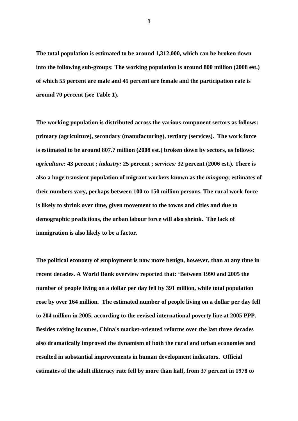**The total population is estimated to be around 1,312,000, which can be broken down into the following sub-groups: The working population is around 800 million (2008 est.) of which 55 percent are male and 45 percent are female and the participation rate is around 70 percent (see Table 1).** 

**The working population is distributed across the various component sectors as follows: primary (agriculture), secondary (manufacturing), tertiary (services). The work force is estimated to be around 807.7 million (2008 est.) broken down by sectors, as follows:**  *agriculture:* **43 percent ;** *industry:* **25 percent ;** *services:* **32 percent (2006 est.). There is also a huge transient population of migrant workers known as the** *mingong***; estimates of their numbers vary, perhaps between 100 to 150 million persons. The rural work-force is likely to shrink over time, given movement to the towns and cities and due to demographic predictions, the urban labour force will also shrink. The lack of immigration is also likely to be a factor.** 

**The political economy of employment is now more benign, however, than at any time in recent decades. A World Bank overview reported that: 'Between 1990 and 2005 the number of people living on a dollar per day fell by 391 million, while total population rose by over 164 million. The estimated number of people living on a dollar per day fell to 204 million in 2005, according to the revised international poverty line at 2005 PPP. Besides raising incomes, China's market-oriented reforms over the last three decades also dramatically improved the dynamism of both the rural and urban economies and resulted in substantial improvements in human development indicators. Official estimates of the adult illiteracy rate fell by more than half, from 37 percent in 1978 to**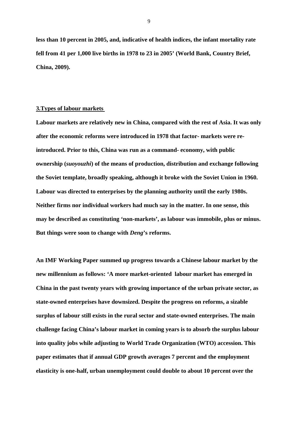**less than 10 percent in 2005, and, indicative of health indices, the infant mortality rate fell from 41 per 1,000 live births in 1978 to 23 in 2005' (World Bank, Country Brief, China, 2009).** 

#### **3.Types of labour markets**

**Labour markets are relatively new in China, compared with the rest of Asia. It was only after the economic reforms were introduced in 1978 that factor- markets were reintroduced. Prior to this, China was run as a command- economy, with public ownership (***suoyouzhi***) of the means of production, distribution and exchange following the Soviet template, broadly speaking, although it broke with the Soviet Union in 1960. Labour was directed to enterprises by the planning authority until the early 1980s. Neither firms nor individual workers had much say in the matter. In one sense, this may be described as constituting 'non-markets', as labour was immobile, plus or minus. But things were soon to change with** *Deng***'s reforms.** 

**An IMF Working Paper summed up progress towards a Chinese labour market by the new millennium as follows: 'A more market-oriented labour market has emerged in China in the past twenty years with growing importance of the urban private sector, as state-owned enterprises have downsized. Despite the progress on reforms, a sizable surplus of labour still exists in the rural sector and state-owned enterprises. The main challenge facing China's labour market in coming years is to absorb the surplus labour into quality jobs while adjusting to World Trade Organization (WTO) accession. This paper estimates that if annual GDP growth averages 7 percent and the employment elasticity is one-half, urban unemployment could double to about 10 percent over the**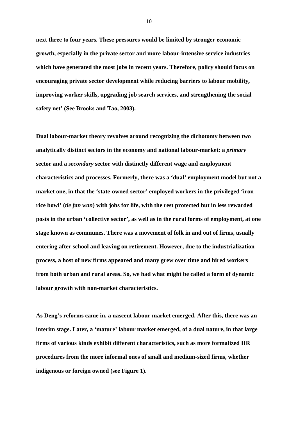**next three to four years. These pressures would be limited by stronger economic growth, especially in the private sector and more labour-intensive service industries which have generated the most jobs in recent years. Therefore, policy should focus on encouraging private sector development while reducing barriers to labour mobility, improving worker skills, upgrading job search services, and strengthening the social safety net' (See Brooks and Tao, 2003).** 

**Dual labour-market theory revolves around recognizing the dichotomy between two analytically distinct sectors in the economy and national labour-market: a** *primary* **sector and a** *secondary* **sector with distinctly different wage and employment characteristics and processes. Formerly, there was a 'dual' employment model but not a market one, in that the 'state-owned sector' employed workers in the privileged 'iron rice bowl' (***tie fan wan***) with jobs for life, with the rest protected but in less rewarded posts in the urban 'collective sector', as well as in the rural forms of employment, at one stage known as communes. There was a movement of folk in and out of firms, usually entering after school and leaving on retirement. However, due to the industrialization process, a host of new firms appeared and many grew over time and hired workers from both urban and rural areas. So, we had what might be called a form of dynamic labour growth with non-market characteristics.** 

**As Deng's reforms came in, a nascent labour market emerged. After this, there was an interim stage. Later, a 'mature' labour market emerged, of a dual nature, in that large firms of various kinds exhibit different characteristics, such as more formalized HR procedures from the more informal ones of small and medium-sized firms, whether indigenous or foreign owned (see Figure 1).**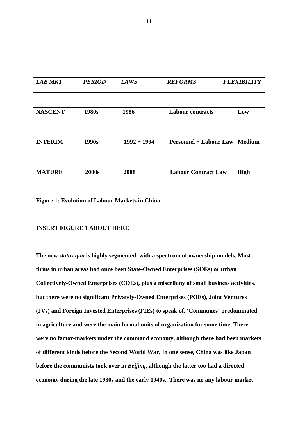| <b>LAB MKT</b> | <b>PERIOD</b> | <b>LAWS</b>   | <b>REFORMS</b>                       | <b>FLEXIBILITY</b> |
|----------------|---------------|---------------|--------------------------------------|--------------------|
|                |               |               |                                      |                    |
| <b>NASCENT</b> | 1980s         | 1986          | <b>Labour contracts</b>              | Low                |
|                |               |               |                                      |                    |
| <b>INTERIM</b> | 1990s         | $1992 + 1994$ | <b>Personnel + Labour Law Medium</b> |                    |
|                |               |               |                                      |                    |
| <b>MATURE</b>  | 2000s         | 2008          | <b>Labour Contract Law</b>           | <b>High</b>        |

**Figure 1: Evolution of Labour Markets in China** 

#### **INSERT FIGURE 1 ABOUT HERE**

**The new** *status quo* **is highly segmented, with a spectrum of ownership models. Most firms in urban areas had once been State-Owned Enterprises (SOEs) or urban Collectively-Owned Enterprises (COEs), plus a miscellany of small business activities, but there were no significant Privately-Owned Enterprises (POEs), Joint Ventures (JVs) and Foreign Invested Enterprises (FIEs) to speak of. 'Communes' predominated in agriculture and were the main formal units of organization for some time. There were no factor-markets under the command economy, although there had been markets of different kinds before the Second World War. In one sense, China was like Japan before the communists took over in** *Beijing***, although the latter too had a directed economy during the late 1930s and the early 1940s. There was no any labour market**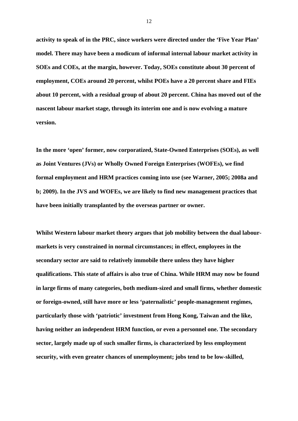**activity to speak of in the PRC, since workers were directed under the 'Five Year Plan' model. There may have been a modicum of informal internal labour market activity in SOEs and COEs, at the margin, however. Today, SOEs constitute about 30 percent of employment, COEs around 20 percent, whilst POEs have a 20 percent share and FIEs about 10 percent, with a residual group of about 20 percent. China has moved out of the nascent labour market stage, through its interim one and is now evolving a mature version.** 

**In the more 'open' former, now corporatized, State-Owned Enterprises (SOEs), as well as Joint Ventures (JVs) or Wholly Owned Foreign Enterprises (WOFEs), we find formal employment and HRM practices coming into use (see Warner, 2005; 2008a and b; 2009). In the JVS and WOFEs, we are likely to find new management practices that have been initially transplanted by the overseas partner or owner.** 

**Whilst Western labour market theory argues that job mobility between the dual labourmarkets is very constrained in normal circumstances; in effect, employees in the secondary sector are said to relatively immobile there unless they have higher qualifications. This state of affairs is also true of China. While HRM may now be found in large firms of many categories, both medium-sized and small firms, whether domestic or foreign-owned, still have more or less 'paternalistic' people-management regimes, particularly those with 'patriotic' investment from Hong Kong, Taiwan and the like, having neither an independent HRM function, or even a personnel one. The secondary sector, largely made up of such smaller firms, is characterized by less employment security, with even greater chances of unemployment; jobs tend to be low-skilled,**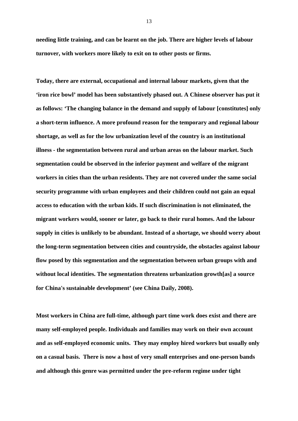**needing little training, and can be learnt on the job. There are higher levels of labour turnover, with workers more likely to exit on to other posts or firms.** 

**Today, there are external, occupational and internal labour markets, given that the 'iron rice bowl' model has been substantively phased out. A Chinese observer has put it as follows: 'The changing balance in the demand and supply of labour [constitutes] only a short-term influence. A more profound reason for the temporary and regional labour shortage, as well as for the low urbanization level of the country is an institutional illness - the segmentation between rural and urban areas on the labour market. Such segmentation could be observed in the inferior payment and welfare of the migrant workers in cities than the urban residents. They are not covered under the same social security programme with urban employees and their children could not gain an equal access to education with the urban kids. If such discrimination is not eliminated, the migrant workers would, sooner or later, go back to their rural homes. And the labour supply in cities is unlikely to be abundant. Instead of a shortage, we should worry about the long-term segmentation between cities and countryside, the obstacles against labour flow posed by this segmentation and the segmentation between urban groups with and without local identities. The segmentation threatens urbanization growth[as] a source for China's sustainable development' (see China Daily, 2008).** 

**Most workers in China are full-time, although part time work does exist and there are many self-employed people. Individuals and families may work on their own account and as self-employed economic units. They may employ hired workers but usually only on a casual basis. There is now a host of very small enterprises and one-person bands and although this genre was permitted under the pre-reform regime under tight**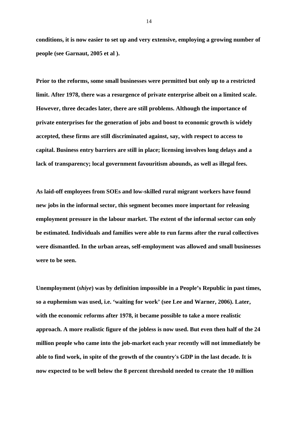**conditions, it is now easier to set up and very extensive, employing a growing number of people (see Garnaut, 2005 et al ).** 

**Prior to the reforms, some small businesses were permitted but only up to a restricted limit. After 1978, there was a resurgence of private enterprise albeit on a limited scale. However, three decades later, there are still problems. Although the importance of private enterprises for the generation of jobs and boost to economic growth is widely accepted, these firms are still discriminated against, say, with respect to access to capital. Business entry barriers are still in place; licensing involves long delays and a lack of transparency; local government favouritism abounds, as well as illegal fees.** 

**As laid-off employees from SOEs and low-skilled rural migrant workers have found new jobs in the informal sector, this segment becomes more important for releasing employment pressure in the labour market. The extent of the informal sector can only be estimated. Individuals and families were able to run farms after the rural collectives were dismantled. In the urban areas, self-employment was allowed and small businesses were to be seen.** 

**Unemployment (***shiye***) was by definition impossible in a People's Republic in past times, so a euphemism was used, i.e. 'waiting for work' (see Lee and Warner, 2006). Later, with the economic reforms after 1978, it became possible to take a more realistic approach. A more realistic figure of the jobless is now used. But even then half of the 24 million people who came into the job-market each year recently will not immediately be able to find work, in spite of the growth of the country's GDP in the last decade. It is now expected to be well below the 8 percent threshold needed to create the 10 million**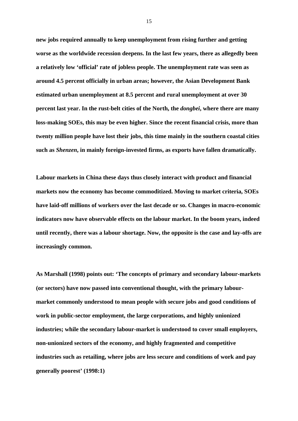**new jobs required annually to keep unemployment from rising further and getting worse as the worldwide recession deepens. In the last few years, there as allegedly been a relatively low 'official' rate of jobless people. The unemployment rate was seen as around 4.5 percent officially in urban areas; however, the Asian Development Bank estimated urban unemployment at 8.5 percent and rural unemployment at over 30 percent last year. In the rust-belt cities of the North, the** *dongbei***, where there are many loss-making SOEs, this may be even higher. Since the recent financial crisis, more than twenty million people have lost their jobs, this time mainly in the southern coastal cities such as** *Shenzen***, in mainly foreign-invested firms, as exports have fallen dramatically.** 

**Labour markets in China these days thus closely interact with product and financial markets now the economy has become commoditized. Moving to market criteria, SOEs have laid-off millions of workers over the last decade or so. Changes in macro-economic indicators now have observable effects on the labour market. In the boom years, indeed until recently, there was a labour shortage. Now, the opposite is the case and lay-offs are increasingly common.** 

**As Marshall (1998) points out: 'The concepts of primary and secondary labour-markets (or sectors) have now passed into conventional thought, with the primary labourmarket commonly understood to mean people with secure jobs and good conditions of work in public-sector employment, the large corporations, and highly unionized industries; while the secondary labour-market is understood to cover small employers, non-unionized sectors of the economy, and highly fragmented and competitive industries such as retailing, where jobs are less secure and conditions of work and pay generally poorest' (1998:1)**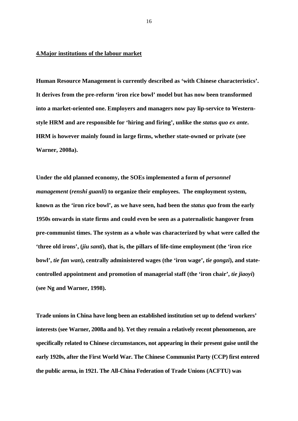#### **4.Major institutions of the labour market**

**Human Resource Management is currently described as 'with Chinese characteristics'. It derives from the pre-reform 'iron rice bowl' model but has now been transformed into a market-oriented one. Employers and managers now pay lip-service to Westernstyle HRM and are responsible for 'hiring and firing', unlike the** *status quo ex ante***. HRM is however mainly found in large firms, whether state-owned or private (see Warner, 2008a).** 

Under the old planned economy, the SOEs implemented a form of *personnel management* **(***renshi guanli***) to organize their employees. The employment system, known as the 'iron rice bowl', as we have seen, had been the** *status quo* **from the early 1950s onwards in state firms and could even be seen as a paternalistic hangover from pre-communist times. The system as a whole was characterized by what were called the 'three old irons', (***jiu santi***), that is, the pillars of life-time employment (the 'iron rice bowl',** *tie fan wan***), centrally administered wages (the 'iron wage',** *tie gongzi***), and statecontrolled appointment and promotion of managerial staff (the 'iron chair',** *tie jiaoyi***) (see Ng and Warner, 1998).** 

**Trade unions in China have long been an established institution set up to defend workers' interests (see Warner, 2008a and b). Yet they remain a relatively recent phenomenon, are specifically related to Chinese circumstances, not appearing in their present guise until the early 1920s, after the First World War. The Chinese Communist Party (CCP) first entered the public arena, in 1921. The All-China Federation of Trade Unions (ACFTU) was**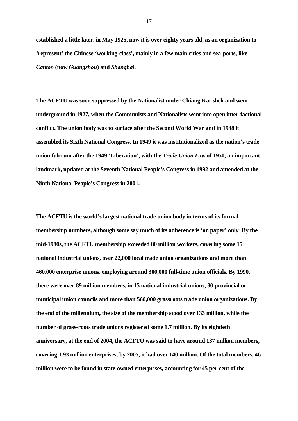**established a little later, in May 1925, now it is over eighty years old, as an organization to 'represent' the Chinese 'working-class', mainly in a few main cities and sea-ports, like** *Canton* **(now** *Guangzhou***) and** *Shanghai***.** 

**The ACFTU was soon suppressed by the Nationalist under Chiang Kai-shek and went underground in 1927, when the Communists and Nationalists went into open inter-factional conflict. The union body was to surface after the Second World War and in 1948 it assembled its Sixth National Congress. In 1949 it was institutionalized as the nation's trade union fulcrum after the 1949 'Liberation', with the** *Trade Union Law* **of 1950, an important landmark, updated at the Seventh National People's Congress in 1992 and amended at the Ninth National People's Congress in 2001.** 

**The ACFTU is the world's largest national trade union body in terms of its formal membership numbers, although some say much of its adherence is 'on paper' only. By the mid-1980s, the ACFTU membership exceeded 80 million workers, covering some 15 national industrial unions, over 22,000 local trade union organizations and more than 460,000 enterprise unions, employing around 300,000 full-time union officials. By 1990, there were over 89 million members, in 15 national industrial unions, 30 provincial or municipal union councils and more than 560,000 grassroots trade union organizations. By the end of the millennium, the size of the membership stood over 133 million, while the number of grass-roots trade unions registered some 1.7 million. By its eightieth anniversary, at the end of 2004, the ACFTU was said to have around 137 million members, covering 1.93 million enterprises; by 2005, it had over 140 million. Of the total members, 46 million were to be found in state-owned enterprises, accounting for 45 per cent of the**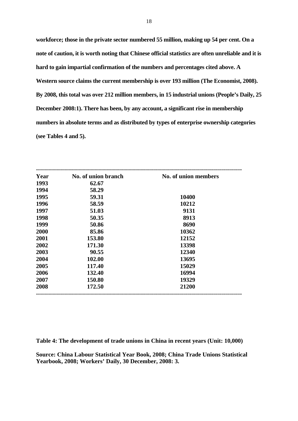**workforce; those in the private sector numbered 55 million, making up 54 per cent. On a note of caution, it is worth noting that Chinese official statistics are often unreliable and it is hard to gain impartial confirmation of the numbers and percentages cited above. A Western source claims the current membership is over 193 million (The Economist, 2008). By 2008, this total was over 212 million members, in 15 industrial unions (People's Daily, 25 December 2008:1). There has been, by any account, a significant rise in membership numbers in absolute terms and as distributed by types of enterprise ownership categories (see Tables 4 and 5).** 

| Year | No. of union branch | No. of union members |
|------|---------------------|----------------------|
| 1993 | 62.67               |                      |
| 1994 | 58.29               |                      |
| 1995 | 59.31               | 10400                |
| 1996 | 58.59               | 10212                |
| 1997 | 51.03               | 9131                 |
| 1998 | 50.35               | 8913                 |
| 1999 | 50.86               | 8690                 |
| 2000 | 85.86               | 10362                |
| 2001 | 153.80              | 12152                |
| 2002 | 171.30              | 13398                |
| 2003 | 90.55               | 12340                |
| 2004 | 102.00              | 13695                |
| 2005 | 117.40              | 15029                |
| 2006 | 132.40              | 16994                |
| 2007 | 150.80              | 19329                |
| 2008 | 172.50              | 21200                |

**Table 4: The development of trade unions in China in recent years (Unit: 10,000)** 

**Source: China Labour Statistical Year Book, 2008; China Trade Unions Statistical Yearbook, 2008; Workers' Daily, 30 December, 2008: 3.**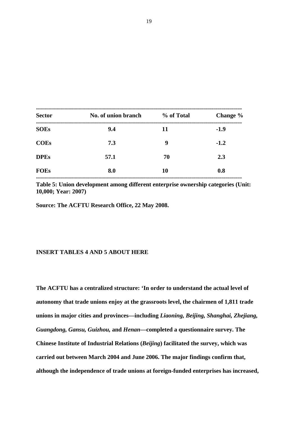| <b>Sector</b> | No. of union branch | % of Total | Change % |
|---------------|---------------------|------------|----------|
| <b>SOEs</b>   | 9.4                 | 11         | $-1.9$   |
| <b>COEs</b>   | 7.3                 | 9          | $-1.2$   |
| <b>DPEs</b>   | 57.1                | 70         | 2.3      |
| <b>FOEs</b>   | 8.0                 | <b>10</b>  | 0.8      |
|               |                     |            |          |

**Table 5: Union development among different enterprise ownership categories (Unit: 10,000; Year: 2007)** 

**Source: The ACFTU Research Office, 22 May 2008.** 

#### **INSERT TABLES 4 AND 5 ABOUT HERE**

**The ACFTU has a centralized structure: 'In order to understand the actual level of autonomy that trade unions enjoy at the grassroots level, the chairmen of 1,811 trade unions in major cities and provinces—including** *Liaoning, Beijing, Shanghai, Zhejiang, Guangdong, Gansu, Guizhou,* **and** *Henan***—completed a questionnaire survey. The Chinese Institute of Industrial Relations (***Beijing***) facilitated the survey, which was carried out between March 2004 and June 2006. The major findings confirm that, although the independence of trade unions at foreign-funded enterprises has increased,**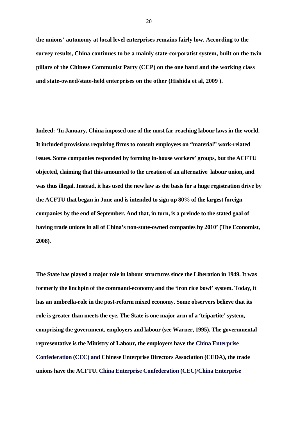**the unions' autonomy at local level enterprises remains fairly low. According to the survey results, China continues to be a mainly state-corporatist system, built on the twin pillars of the Chinese Communist Party (CCP) on the one hand and the working class and state-owned/state-held enterprises on the other (Hishida et al, 2009 ).** 

**Indeed: 'In January, China imposed one of the most far-reaching labour laws in the world. It included provisions requiring firms to consult employees on "material" work-related issues. Some companies responded by forming in-house workers' groups, but the ACFTU objected, claiming that this amounted to the creation of an alternative labour union, and was thus illegal. Instead, it has used the new law as the basis for a huge registration drive by the ACFTU that began in June and is intended to sign up 80% of the largest foreign companies by the end of September. And that, in turn, is a prelude to the stated goal of having trade unions in all of China's non-state-owned companies by 2010' (The Economist, 2008).** 

**The State has played a major role in labour structures since the Liberation in 1949. It was formerly the linchpin of the command-economy and the 'iron rice bowl' system. Today, it has an umbrella-role in the post-reform mixed economy. Some observers believe that its role is greater than meets the eye. The State is one major arm of a 'tripartite' system, comprising the government, employers and labour (see Warner, 1995). The governmental representative is the Ministry of Labour, the employers have the China Enterprise Confederation (CEC) and Chinese Enterprise Directors Association (CEDA), the trade unions have the ACFTU. China Enterprise Confederation (CEC)/China Enterprise**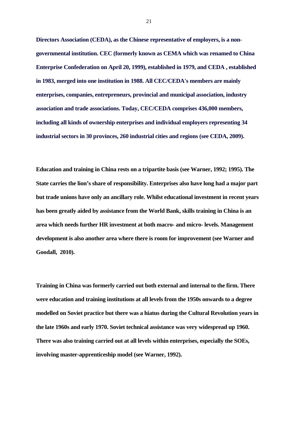**Directors Association (CEDA), as the Chinese representative of employers, is a nongovernmental institution. CEC (formerly known as CEMA which was renamed to China Enterprise Confederation on April 20, 1999), established in 1979, and CEDA , established in 1983, merged into one institution in 1988. All CEC/CEDA's members are mainly enterprises, companies, entrepreneurs, provincial and municipal association, industry association and trade associations. Today, CEC/CEDA comprises 436,000 members, including all kinds of ownership enterprises and individual employers representing 34 industrial sectors in 30 provinces, 260 industrial cities and regions (see CEDA, 2009).**

**Education and training in China rests on a tripartite basis (see Warner, 1992; 1995). The State carries the lion's share of responsibility. Enterprises also have long had a major part but trade unions have only an ancillary role. Whilst educational investment in recent years has been greatly aided by assistance from the World Bank, skills training in China is an area which needs further HR investment at both macro- and micro- levels. Management development is also another area where there is room for improvement (see Warner and Goodall, 2010).** 

**Training in China was formerly carried out both external and internal to the firm. There were education and training institutions at all levels from the 1950s onwards to a degree modelled on Soviet practice but there was a hiatus during the Cultural Revolution years in the late 1960s and early 1970. Soviet technical assistance was very widespread up 1960. There was also training carried out at all levels within enterprises, especially the SOEs, involving master-apprenticeship model (see Warner, 1992).**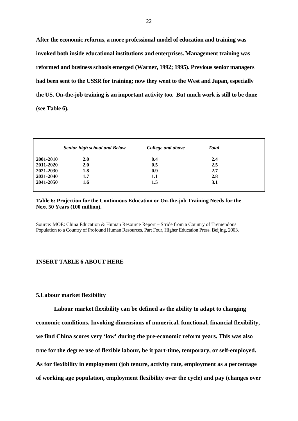**After the economic reforms, a more professional model of education and training was invoked both inside educational institutions and enterprises. Management training was reformed and business schools emerged (Warner, 1992; 1995). Previous senior managers had been sent to the USSR for training; now they went to the West and Japan, especially the US. On-the-job training is an important activity too. But much work is still to be done (see Table 6).** 

|           | <b>Senior high school and Below</b> | College and above | <b>Total</b> |
|-----------|-------------------------------------|-------------------|--------------|
| 2001-2010 | <b>2.0</b>                          | 0.4               | 2.4          |
| 2011-2020 | 2.0                                 | 0.5               | 2.5          |
| 2021-2030 | 1.8                                 | 0.9               | 2.7          |
| 2031-2040 | 1.7                                 | 1.1               | 2.8          |
| 2041-2050 | 1.6                                 | 1.5               | 3.1          |

#### **Table 6: Projection for the Continuous Education or On-the-job Training Needs for the Next 50 Years (100 million).**

Source: MOE: China Education & Human Resource Report – Stride from a Country of Tremendous Population to a Country of Profound Human Resources, Part Four, Higher Education Press, Beijing, 2003.

#### **INSERT TABLE 6 ABOUT HERE**

#### **5.Labour market flexibility**

 **Labour market flexibility can be defined as the ability to adapt to changing economic conditions. Invoking dimensions of numerical, functional, financial flexibility, we find China scores very 'low' during the pre-economic reform years. This was also true for the degree use of flexible labour, be it part-time, temporary, or self-employed. As for flexibility in employment (job tenure, activity rate, employment as a percentage of working age population, employment flexibility over the cycle) and pay (changes over**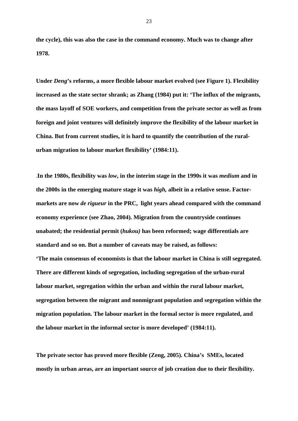**the cycle), this was also the case in the command economy. Much was to change after 1978.** 

**Under** *Deng***'s reforms, a more flexible labour market evolved (see Figure 1). Flexibility increased as the state sector shrank; as Zhang (1984) put it: 'The influx of the migrants, the mass layoff of SOE workers, and competition from the private sector as well as from foreign and joint ventures will definitely improve the flexibility of the labour market in China. But from current studies, it is hard to quantify the contribution of the ruralurban migration to labour market flexibility' (1984:11).** 

.**In the 1980s, flexibility was** *low***, in the interim stage in the 1990s it was** *medium* **and in the 2000s in the emerging mature stage it was** *high,* **albeit in a relative sense. Factormarkets are now** *de rigueur* **in the PRC, light years ahead compared with the command economy experience (see Zhao, 2004). Migration from the countryside continues unabated; the residential permit (***hukou)* **has been reformed; wage differentials are standard and so on. But a number of caveats may be raised, as follows: 'The main consensus of economists is that the labour market in China is still segregated. There are different kinds of segregation, including segregation of the urban-rural labour market, segregation within the urban and within the rural labour market, segregation between the migrant and nonmigrant population and segregation within the migration population. The labour market in the formal sector is more regulated, and the labour market in the informal sector is more developed' (1984:11).** 

**The private sector has proved more flexible (Zeng, 2005). China's SMEs, located mostly in urban areas, are an important source of job creation due to their flexibility.**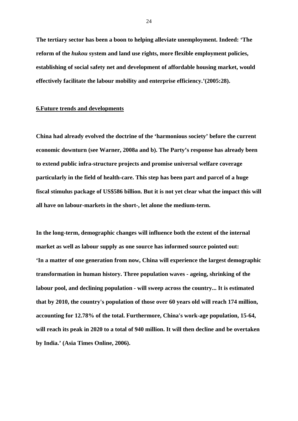**The tertiary sector has been a boon to helping alleviate unemployment. Indeed: 'The reform of the** *hukou* **system and land use rights, more flexible employment policies, establishing of social safety net and development of affordable housing market, would effectively facilitate the labour mobility and enterprise efficiency.'(2005:28).** 

#### **6.Future trends and developments**

**China had already evolved the doctrine of the 'harmonious society' before the current economic downturn (see Warner, 2008a and b). The Party's response has already been to extend public infra-structure projects and promise universal welfare coverage particularly in the field of health-care. This step has been part and parcel of a huge fiscal stimulus package of US\$586 billion. But it is not yet clear what the impact this will all have on labour-markets in the short-, let alone the medium-term.** 

**In the long-term, demographic changes will influence both the extent of the internal market as well as labour supply as one source has informed source pointed out: 'In a matter of one generation from now, China will experience the largest demographic transformation in human history. Three population waves - ageing, shrinking of the labour pool, and declining population - will sweep across the country... It is estimated that by 2010, the country's population of those over 60 years old will reach 174 million, accounting for 12.78% of the total. Furthermore, China's work-age population, 15-64, will reach its peak in 2020 to a total of 940 million. It will then decline and be overtaken by India.' (Asia Times Online, 2006).**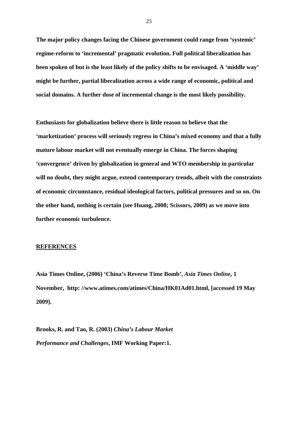**The major policy changes facing the Chinese government could range from 'systemic' regime-reform to 'incremental' pragmatic evolution. Full political liberalization has been spoken of but is the least likely of the policy shifts to be envisaged. A 'middle way' might be further, partial liberalization across a wide range of economic, political and social domains. A further dose of incremental change is the most likely possibility.** 

**Enthusiasts for globalization believe there is little reason to believe that the 'marketization' process will seriously regress in China's mixed economy and that a fully mature labour market will not eventually emerge in China. The forces shaping 'convergence' driven by globalization in general and WTO membership in particular will no doubt, they might argue, extend contemporary trends, albeit with the constraints of economic circumstance, residual ideological factors, political pressures and so on. On the other hand, nothing is certain (see Huang, 2008; Scissors, 2009) as we move into further economic turbulence.** 

#### **REFERENCES**

**Asia Times Online, (2006) 'China's Reverse Time Bomb',** *Asia Times Online***, 1 November, http: //www.atimes.com/atimes/China/HK01Ad01.html, [accessed 19 May 2009].** 

**Brooks, R. and Tao, R. (2003)** *China's Labour Market Performance and Challenges***, IMF Working Paper:1.**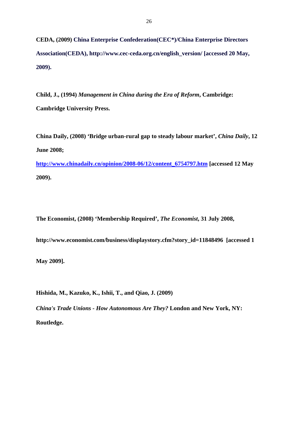**CEDA, (2009) China Enterprise Confederation(CEC\*)/China Enterprise Directors Association(CEDA), http://www.cec-ceda.org.cn/english\_version/ [accessed 20 May, 2009).**

**Child, J., (1994)** *Management in China during the Era of Reform***, Cambridge: Cambridge University Press.** 

**China Daily, (2008) 'Bridge urban-rural gap to steady labour market',** *China Daily***, 12 June 2008; http://www.chinadaily.cn/opinion/2008-06/12/content\_6754797.htm [accessed 12 May 2009).** 

**The Economist, (2008) 'Membership Required',** *The Economist***, 31 July 2008,** 

**http://www.economist.com/business/displaystory.cfm?story\_id=11848496 [accessed 1** 

**May 2009].** 

**Hishida, M., Kazuko, K., Ishii, T., and Qiao, J. (2009)** 

*China's Trade Unions - How Autonomous Are They?* **London and New York, NY: Routledge.**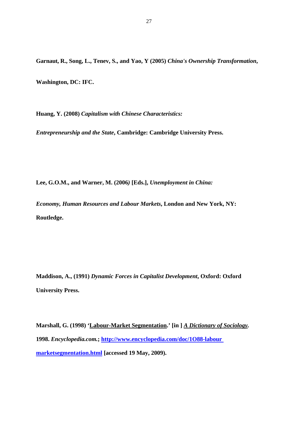**Garnaut, R., Song, L., Tenev, S., and Yao, Y (2005)** *China's Ownership Transformation***,** 

**Washington, DC: IFC.** 

**Huang, Y. (2008)** *Capitalism with Chinese Characteristics:* 

*Entrepreneurship and the State***, Cambridge: Cambridge University Press.** 

**Lee, G.O.M., and Warner, M. (2006***)* **[Eds.],** *Unemployment in China:* 

*Economy, Human Resources and Labour Markets***, London and New York, NY: Routledge.** 

**Maddison, A., (1991)** *Dynamic Forces in Capitalist Development***, Oxford: Oxford University Press.** 

**Marshall, G. (1998) 'Labour-Market Segmentation.' [in ]** *A Dictionary of Sociology.* **1998.** *Encyclopedia.com.***; http://www.encyclopedia.com/doc/1O88-labour marketsegmentation.html [accessed 19 May, 2009).**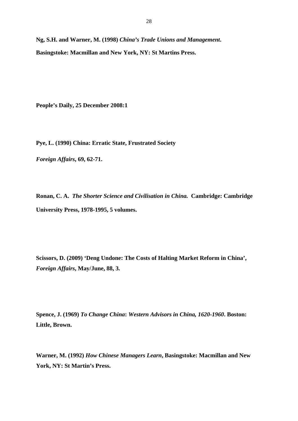**Ng, S.H. and Warner, M. (1998)** *China's Trade Unions and Management***. Basingstoke: Macmillan and New York, NY: St Martins Press.** 

**People's Daily, 25 December 2008:1** 

**Pye, L. (1990) China: Erratic State, Frustrated Society** 

*Foreign Affairs***, 69, 62-71.** 

**Ronan, C. A.** *The Shorter Science and Civilisation in China.* **Cambridge: Cambridge University Press, 1978-1995, 5 volumes.** 

**Scissors, D. (2009) 'Deng Undone: The Costs of Halting Market Reform in China',**  *Foreign Affairs***, May/June, 88, 3.** 

**Spence, J. (1969)** *To Change China***:** *Western Advisors in China, 1620-1960***. Boston: Little, Brown.** 

**Warner, M. (1992)** *How Chinese Managers Learn***, Basingstoke: Macmillan and New York, NY: St Martin's Press.**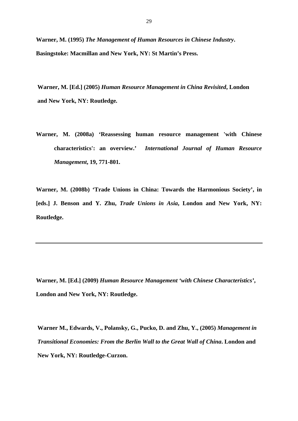**Warner, M. (1995)** *The Management of Human Resources in Chinese Industry***. Basingstoke: Macmillan and New York, NY: St Martin's Press.** 

**Warner, M. [Ed.] (2005)** *Human Resource Management in China Revisited***, London and New York, NY: Routledge***.* 

**Warner, M. (2008a) 'Reassessing human resource management 'with Chinese characteristics': an overview.'** *International Journal of Human Resource Management***, 19, 771-801.** 

**Warner, M. (2008b) 'Trade Unions in China: Towards the Harmonious Society', in [eds.] J. Benson and Y. Zhu,** *Trade Unions in Asia***, London and New York, NY: Routledge.** 

**Warner, M. [Ed.] (2009)** *Human Resource Management 'with Chinese Characteristics'***, London and New York, NY: Routledge.** 

**Warner M., Edwards, V., Polansky, G., Pucko, D. and Zhu, Y., (2005)** *Management in Transitional Economies: From the Berlin Wall to the Great Wall of China***. London and New York, NY: Routledge-Curzon.**